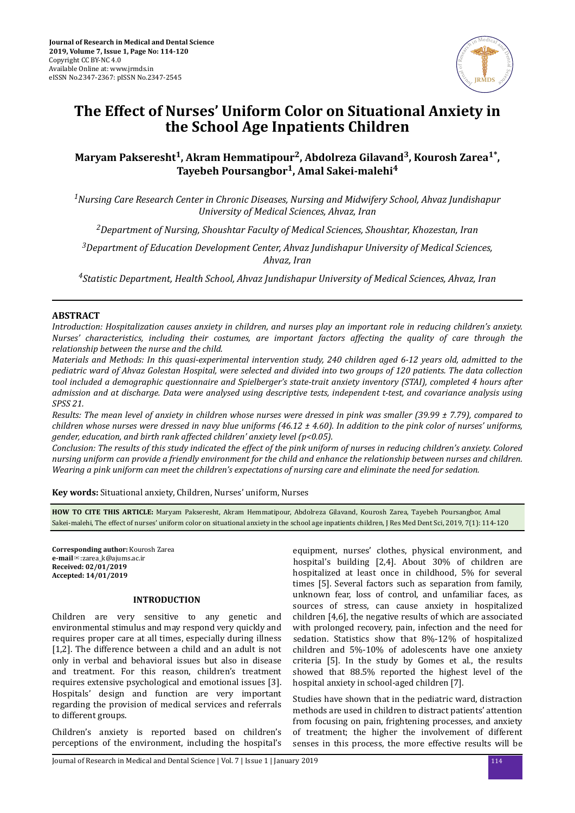

# **The Effect of Nurses' Uniform Color on Situational Anxiety in the School Age Inpatients Children**

# **Maryam Pakseresht<sup>1</sup> , Akram Hemmatipour<sup>2</sup> , Abdolreza Gilavand<sup>3</sup> , Kourosh Zarea1\* , Tayebeh Poursangbor<sup>1</sup> , Amal Sakei-malehi<sup>4</sup>**

*<sup>1</sup>Nursing Care Research Center in Chronic Diseases, Nursing and Midwifery School, Ahvaz Jundishapur University of Medical Sciences, Ahvaz, Iran*

*<sup>2</sup>Department of Nursing, Shoushtar Faculty of Medical Sciences, Shoushtar, Khozestan, Iran*

*<sup>3</sup>Department of Education Development Center, Ahvaz Jundishapur University of Medical Sciences, Ahvaz, Iran*

*<sup>4</sup>Statistic Department, Health School, Ahvaz Jundishapur University of Medical Sciences, Ahvaz, Iran*

# **ABSTRACT**

*Introduction: Hospitalization causes anxiety in children, and nurses play an important role in reducing children's anxiety. Nurses' characteristics, including their costumes, are important factors affecting the quality of care through the relationship between the nurse and the child.*

*Materials and Methods: In this quasi-experimental intervention study, 240 children aged 6-12 years old, admitted to the pediatric ward of Ahvaz Golestan Hospital, were selected and divided into two groups of 120 patients. The data collection tool included a demographic questionnaire and Spielberger's state-trait anxiety inventory (STAI), completed 4 hours after admission and at discharge. Data were analysed using descriptive tests, independent t-test, and covariance analysis using SPSS 21.*

*Results: The mean level of anxiety in children whose nurses were dressed in pink was smaller (39.99 ± 7.79), compared to children whose nurses were dressed in navy blue uniforms (46.12 ± 4.60). In addition to the pink color of nurses' uniforms, gender, education, and birth rank affected children' anxiety level (p<0.05).*

*Conclusion: The results of this study indicated the effect of the pink uniform of nurses in reducing children's anxiety. Colored nursing uniform can provide a friendly environment for the child and enhance the relationship between nurses and children. Wearing a pink uniform can meet the children's expectations of nursing care and eliminate the need for sedation.*

**Key words:** Situational anxiety, Children, Nurses' uniform, Nurses

**HOW TO CITE THIS ARTICLE:** Maryam Pakseresht, Akram Hemmatipour, Abdolreza Gilavand, Kourosh Zarea, Tayebeh Poursangbor, Amal Sakei-malehi, The effect of nurses' uniform color on situational anxiety in the school age inpatients children, J Res Med Dent Sci, 2019, 7(1): 114-120

**Corresponding author:** Kourosh Zarea **e-mail**✉:zarea\_k@ajums.ac.ir **Received: 02/01/2019 Accepted: 14/01/2019**

# **INTRODUCTION**

Children are very sensitive to any genetic and environmental stimulus and may respond very quickly and requires proper care at all times, especially during illness [1,2]. The difference between a child and an adult is not only in verbal and behavioral issues but also in disease and treatment. For this reason, children's treatment requires extensive psychological and emotional issues [3]. Hospitals' design and function are very important regarding the provision of medical services and referrals to different groups.

Children's anxiety is reported based on children's perceptions of the environment, including the hospital's equipment, nurses' clothes, physical environment, and hospital's building [2,4]. About 30% of children are hospitalized at least once in childhood, 5% for several times [5]. Several factors such as separation from family, unknown fear, loss of control, and unfamiliar faces, as sources of stress, can cause anxiety in hospitalized children [4,6], the negative results of which are associated with prolonged recovery, pain, infection and the need for sedation. Statistics show that 8%-12% of hospitalized children and 5%-10% of adolescents have one anxiety criteria [5]. In the study by Gomes et al., the results showed that 88.5% reported the highest level of the hospital anxiety in school-aged children [7].

Studies have shown that in the pediatric ward, distraction methods are used in children to distract patients' attention from focusing on pain, frightening processes, and anxiety of treatment; the higher the involvement of different senses in this process, the more effective results will be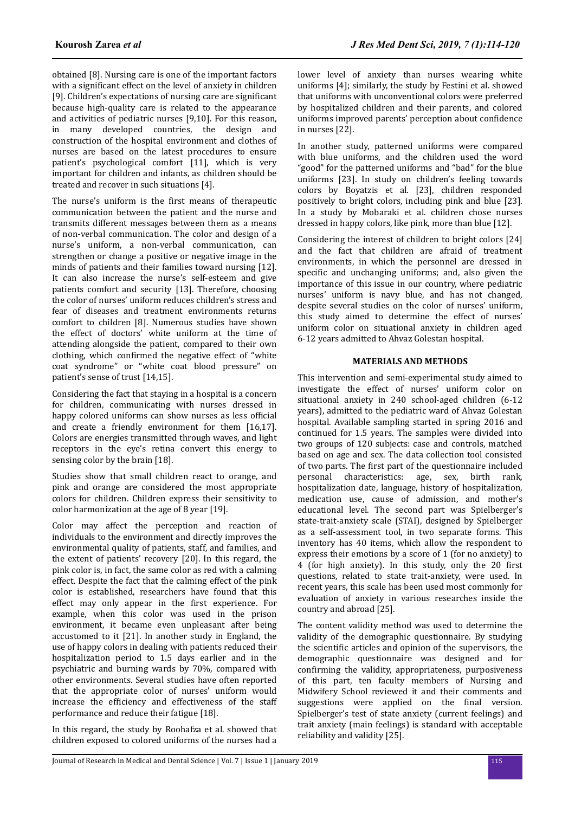obtained [8]. Nursing care is one of the important factors with a significant effect on the level of anxiety in children [9]. Children's expectations of nursing care are significant because high-quality care is related to the appearance and activities of pediatric nurses [9,10]. For this reason, in many developed countries, the design and construction of the hospital environment and clothes of nurses are based on the latest procedures to ensure patient's psychological comfort [11], which is very important for children and infants, as children should be treated and recover in such situations [4].

The nurse's uniform is the first means of therapeutic communication between the patient and the nurse and transmits different messages between them as a means of non-verbal communication. The color and design of a nurse's uniform, a non-verbal communication, can strengthen or change a positive or negative image in the minds of patients and their families toward nursing [12]. It can also increase the nurse's self-esteem and give patients comfort and security [13]. Therefore, choosing the color of nurses' uniform reduces children's stress and fear of diseases and treatment environments returns comfort to children [8]. Numerous studies have shown the effect of doctors' white uniform at the time of attending alongside the patient, compared to their own clothing, which confirmed the negative effect of "white" coat syndrome" or "white coat blood pressure" on patient's sense of trust [14,15].

Considering the fact that staying in a hospital is a concern for children, communicating with nurses dressed in happy colored uniforms can show nurses as less official and create a friendly environment for them [16,17]. Colors are energies transmitted through waves, and light receptors in the eye's retina convert this energy to sensing color by the brain [18].

Studies show that small children react to orange, and pink and orange are considered the most appropriate colors for children. Children express their sensitivity to color harmonization at the age of 8 year [19].

Color may affect the perception and reaction of individuals to the environment and directly improves the environmental quality of patients, staff, and families, and the extent of patients' recovery [20]. In this regard, the pink color is, in fact, the same color as red with a calming effect. Despite the fact that the calming effect of the pink color is established, researchers have found that this effect may only appear in the first experience. For example, when this color was used in the prison environment, it became even unpleasant after being accustomed to it [21]. In another study in England, the use of happy colors in dealing with patients reduced their hospitalization period to 1.5 days earlier and in the psychiatric and burning wards by 70%, compared with other environments. Several studies have often reported that the appropriate color of nurses' uniform would increase the efficiency and effectiveness of the staff performance and reduce their fatigue [18].

In this regard, the study by Roohafza et al. showed that children exposed to colored uniforms of the nurses had a lower level of anxiety than nurses wearing white uniforms [4]; similarly, the study by Festini et al. showed that uniforms with unconventional colors were preferred by hospitalized children and their parents, and colored uniforms improved parents' perception about confidence in nurses [22].

In another study, patterned uniforms were compared with blue uniforms, and the children used the word "good" for the patterned uniforms and "bad" for the blue uniforms [23]. In study on children's feeling towards colors by Boyatzis et al. [23], children responded positively to bright colors, including pink and blue [23]. In a study by Mobaraki et al. children chose nurses dressed in happy colors, like pink, more than blue [12].

Considering the interest of children to bright colors [24] and the fact that children are afraid of treatment environments, in which the personnel are dressed in specific and unchanging uniforms; and, also given the importance of this issue in our country, where pediatric nurses' uniform is navy blue, and has not changed, despite several studies on the color of nurses' uniform, this study aimed to determine the effect of nurses' uniform color on situational anxiety in children aged 6-12 years admitted to Ahvaz Golestan hospital.

# **MATERIALS AND METHODS**

This intervention and semi-experimental study aimed to investigate the effect of nurses' uniform color on situational anxiety in 240 school-aged children (6-12 years), admitted to the pediatric ward of Ahvaz Golestan hospital. Available sampling started in spring 2016 and continued for 1.5 years. The samples were divided into two groups of 120 subjects: case and controls, matched based on age and sex. The data collection tool consisted of two parts. The first part of the questionnaire included personal characteristics: age, sex, birth rank, hospitalization date, language, history of hospitalization, medication use, cause of admission, and mother's educational level. The second part was Spielberger's state-trait-anxiety scale (STAI), designed by Spielberger as a self-assessment tool, in two separate forms. This inventory has 40 items, which allow the respondent to express their emotions by a score of 1 (for no anxiety) to 4 (for high anxiety). In this study, only the 20 first questions, related to state trait-anxiety, were used. In recent years, this scale has been used most commonly for evaluation of anxiety in various researches inside the country and abroad [25].

The content validity method was used to determine the validity of the demographic questionnaire. By studying the scientific articles and opinion of the supervisors, the demographic questionnaire was designed and for confirming the validity, appropriateness, purposiveness of this part, ten faculty members of Nursing and Midwifery School reviewed it and their comments and suggestions were applied on the final version. Spielberger's test of state anxiety (current feelings) and trait anxiety (main feelings) is standard with acceptable reliability and validity [25].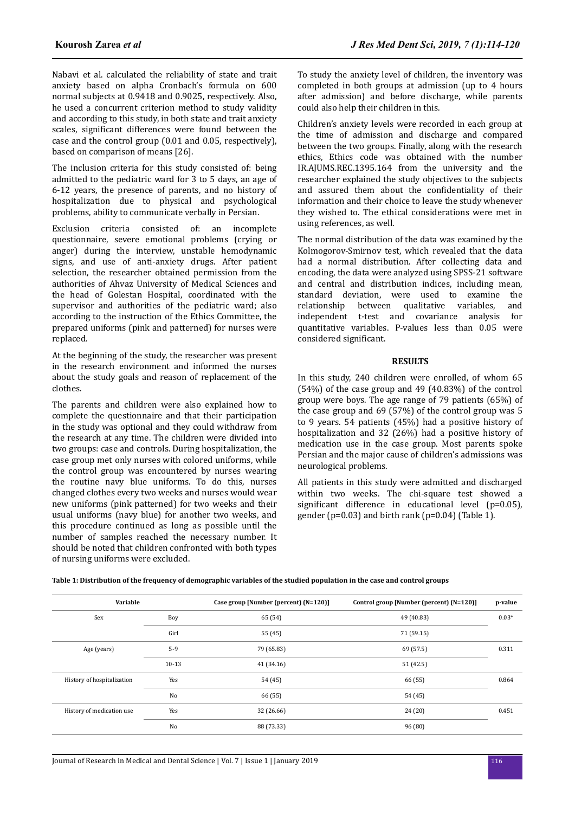Nabavi et al. calculated the reliability of state and trait anxiety based on alpha Cronbach's formula on 600 normal subjects at 0.9418 and 0.9025, respectively. Also, he used a concurrent criterion method to study validity and according to this study, in both state and trait anxiety scales, significant differences were found between the case and the control group (0.01 and 0.05, respectively), based on comparison of means [26].

The inclusion criteria for this study consisted of: being admitted to the pediatric ward for 3 to 5 days, an age of 6-12 years, the presence of parents, and no history of hospitalization due to physical and psychological problems, ability to communicate verbally in Persian.

Exclusion criteria consisted of: an incomplete questionnaire, severe emotional problems (crying or anger) during the interview, unstable hemodynamic signs, and use of anti-anxiety drugs. After patient selection, the researcher obtained permission from the authorities of Ahvaz University of Medical Sciences and the head of Golestan Hospital, coordinated with the supervisor and authorities of the pediatric ward; also according to the instruction of the Ethics Committee, the prepared uniforms (pink and patterned) for nurses were replaced.

At the beginning of the study, the researcher was present in the research environment and informed the nurses about the study goals and reason of replacement of the clothes.

The parents and children were also explained how to complete the questionnaire and that their participation in the study was optional and they could withdraw from the research at any time. The children were divided into two groups: case and controls. During hospitalization, the case group met only nurses with colored uniforms, while the control group was encountered by nurses wearing the routine navy blue uniforms. To do this, nurses changed clothes every two weeks and nurses would wear new uniforms (pink patterned) for two weeks and their usual uniforms (navy blue) for another two weeks, and this procedure continued as long as possible until the number of samples reached the necessary number. It should be noted that children confronted with both types of nursing uniforms were excluded.

To study the anxiety level of children, the inventory was completed in both groups at admission (up to 4 hours after admission) and before discharge, while parents could also help their children in this.

Children's anxiety levels were recorded in each group at the time of admission and discharge and compared between the two groups. Finally, along with the research ethics, Ethics code was obtained with the number IR.AJUMS.REC.1395.164 from the university and the researcher explained the study objectives to the subjects and assured them about the confidentiality of their information and their choice to leave the study whenever they wished to. The ethical considerations were met in using references, as well.

The normal distribution of the data was examined by the Kolmogorov-Smirnov test, which revealed that the data had a normal distribution. After collecting data and encoding, the data were analyzed using SPSS-21 software and central and distribution indices, including mean, standard deviation, were used to examine the relationship between qualitative variables, and independent t-test and covariance analysis for quantitative variables. P-values less than 0.05 were considered significant.

#### **RESULTS**

In this study, 240 children were enrolled, of whom 65 (54%) of the case group and 49 (40.83%) of the control group were boys. The age range of 79 patients (65%) of the case group and 69 (57%) of the control group was 5 to 9 years. 54 patients (45%) had a positive history of hospitalization and 32 (26%) had a positive history of medication use in the case group. Most parents spoke Persian and the major cause of children's admissions was neurological problems.

All patients in this study were admitted and discharged within two weeks. The chi-square test showed a significant difference in educational level  $(p=0.05)$ , gender (p=0.03) and birth rank (p=0.04) (Table 1).

| Table 1: Distribution of the frequency of demographic variables of the studied population in the case and control groups |  |
|--------------------------------------------------------------------------------------------------------------------------|--|
|                                                                                                                          |  |

| Variable                   |         | Case group [Number (percent) (N=120)] | Control group [Number (percent) (N=120)] | p-value |
|----------------------------|---------|---------------------------------------|------------------------------------------|---------|
| Sex                        | Boy     | 65 (54)                               | 49 (40.83)                               | $0.03*$ |
|                            | Girl    | 55 (45)                               | 71 (59.15)                               |         |
| Age (years)                | $5-9$   | 79 (65.83)                            | 69 (57.5)                                | 0.311   |
|                            | $10-13$ | 41 (34.16)                            | 51(42.5)                                 |         |
| History of hospitalization | Yes     | 54 (45)                               | 66 (55)                                  | 0.864   |
|                            | No      | 66 (55)                               | 54 (45)                                  |         |
| History of medication use  | Yes     | 32 (26.66)                            | 24(20)                                   | 0.451   |
|                            | No      | 88 (73.33)                            | 96(80)                                   |         |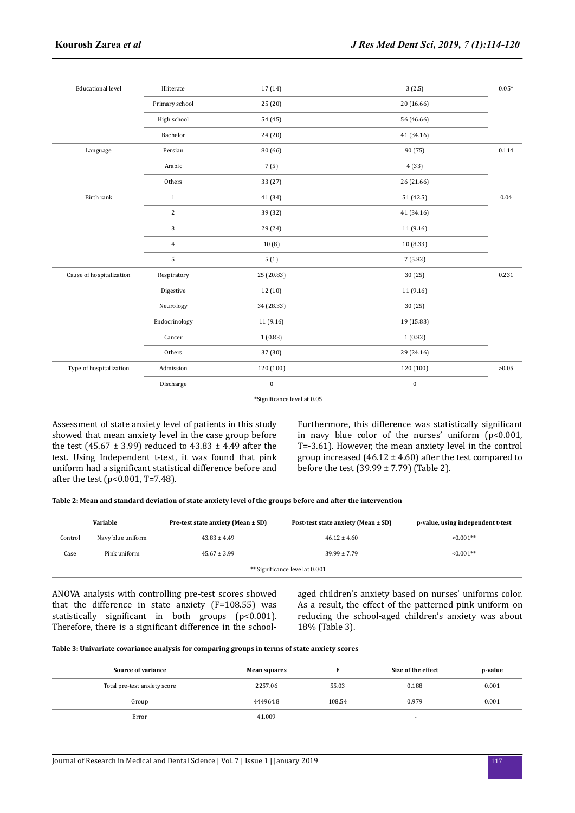| <b>Educational level</b> | Illiterate     | 17 (14)                     | 3(2.5)     | $0.05*$ |
|--------------------------|----------------|-----------------------------|------------|---------|
|                          | Primary school | 25(20)                      | 20 (16.66) |         |
|                          | High school    | 54 (45)                     | 56 (46.66) |         |
|                          | Bachelor       | 24 (20)                     | 41(34.16)  |         |
| Language                 | Persian        | 80 (66)                     | 90 (75)    | 0.114   |
|                          | Arabic         | 7(5)                        | 4(33)      |         |
|                          | Others         | 33 (27)                     | 26 (21.66) |         |
| Birth rank               | $\mathbf{1}$   | 41 (34)                     | 51 (42.5)  | 0.04    |
|                          | $\sqrt{2}$     | 39 (32)                     | 41 (34.16) |         |
|                          | 3              | 29 (24)                     | 11(9.16)   |         |
|                          | $\overline{4}$ | 10(8)                       | 10(8.33)   |         |
|                          | 5              | 5(1)                        | 7(5.83)    |         |
| Cause of hospitalization | Respiratory    | 25 (20.83)                  | 30(25)     | 0.231   |
|                          | Digestive      | 12 (10)                     | 11 (9.16)  |         |
|                          | Neurology      | 34 (28.33)                  | 30(25)     |         |
|                          | Endocrinology  | 11 (9.16)                   | 19 (15.83) |         |
|                          | Cancer         | 1(0.83)                     | 1(0.83)    |         |
|                          | Others         | 37 (30)                     | 29 (24.16) |         |
| Type of hospitalization  | Admission      | 120 (100)                   | 120 (100)  | >0.05   |
|                          | Discharge      | $\boldsymbol{0}$            | $\bf{0}$   |         |
|                          |                | *Significance level at 0.05 |            |         |

Assessment of state anxiety level of patients in this study showed that mean anxiety level in the case group before the test (45.67  $\pm$  3.99) reduced to 43.83  $\pm$  4.49 after the test. Using Independent t-test, it was found that pink uniform had a significant statistical difference before and after the test (p<0.001, T=7.48).

Furthermore, this difference was statistically significant in navy blue color of the nurses' uniform (p<0.001, T=-3.61). However, the mean anxiety level in the control group increased  $(46.12 \pm 4.60)$  after the test compared to before the test  $(39.99 \pm 7.79)$  (Table 2).

|                                | Variable          | Pre-test state anxiety (Mean ± SD) | Post-test state anxiety (Mean ± SD) | p-value, using independent t-test |  |  |
|--------------------------------|-------------------|------------------------------------|-------------------------------------|-----------------------------------|--|--|
| Control                        | Navy blue uniform | $43.83 \pm 4.49$                   | $46.12 \pm 4.60$                    | $< 0.001**$                       |  |  |
| Case                           | Pink uniform      | $45.67 \pm 3.99$                   | $39.99 \pm 7.79$                    | $< 0.001**$                       |  |  |
| ** Significance level at 0.001 |                   |                                    |                                     |                                   |  |  |

ANOVA analysis with controlling pre-test scores showed that the difference in state anxiety (F=108.55) was statistically significant in both groups  $(p<0.001)$ . Therefore, there is a significant difference in the schoolaged children's anxiety based on nurses' uniforms color. As a result, the effect of the patterned pink uniform on reducing the school-aged children's anxiety was about 18% (Table 3).

#### **Table 3: Univariate covariance analysis for comparing groups in terms of state anxiety scores**

| Source of variance           | <b>Mean squares</b> |        | Size of the effect       | p-value |
|------------------------------|---------------------|--------|--------------------------|---------|
| Total pre-test anxiety score | 2257.06             | 55.03  | 0.188                    | 0.001   |
| Group                        | 444964.8            | 108.54 | 0.979                    | 0.001   |
| Error                        | 41.009              |        | $\overline{\phantom{a}}$ |         |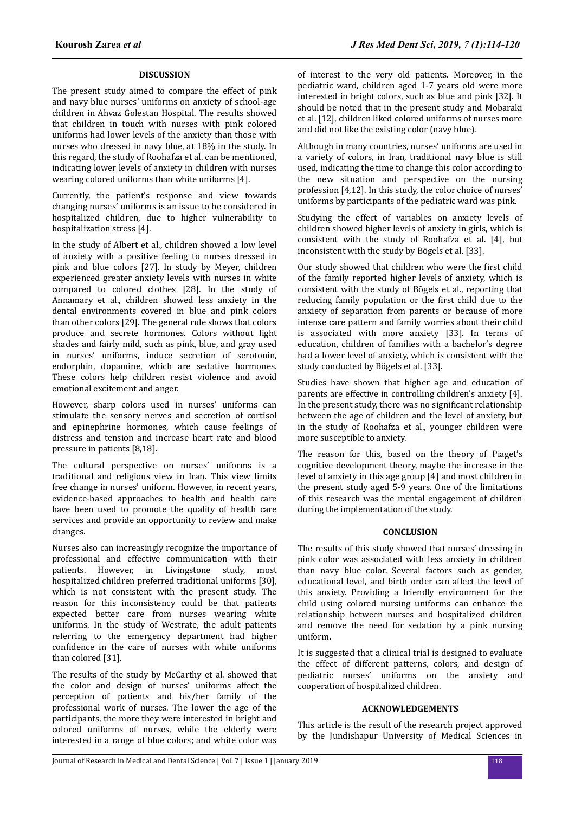# **DISCUSSION**

The present study aimed to compare the effect of pink and navy blue nurses' uniforms on anxiety of school-age children in Ahvaz Golestan Hospital. The results showed that children in touch with nurses with pink colored uniforms had lower levels of the anxiety than those with nurses who dressed in navy blue, at 18% in the study. In this regard, the study of Roohafza et al. can be mentioned, indicating lower levels of anxiety in children with nurses wearing colored uniforms than white uniforms [4].

Currently, the patient's response and view towards changing nurses' uniforms is an issue to be considered in hospitalized children, due to higher vulnerability to hospitalization stress [4].

In the study of Albert et al., children showed a low level of anxiety with a positive feeling to nurses dressed in pink and blue colors [27]. In study by Meyer, children experienced greater anxiety levels with nurses in white compared to colored clothes [28]. In the study of Annamary et al., children showed less anxiety in the dental environments covered in blue and pink colors than other colors [29]. The general rule shows that colors produce and secrete hormones. Colors without light shades and fairly mild, such as pink, blue, and gray used in nurses' uniforms, induce secretion of serotonin, endorphin, dopamine, which are sedative hormones. These colors help children resist violence and avoid emotional excitement and anger.

However, sharp colors used in nurses' uniforms can stimulate the sensory nerves and secretion of cortisol and epinephrine hormones, which cause feelings of distress and tension and increase heart rate and blood pressure in patients [8,18].

The cultural perspective on nurses' uniforms is a traditional and religious view in Iran. This view limits free change in nurses' uniform. However, in recent years, evidence-based approaches to health and health care have been used to promote the quality of health care services and provide an opportunity to review and make changes.

Nurses also can increasingly recognize the importance of professional and effective communication with their patients. However, in Livingstone study, most hospitalized children preferred traditional uniforms [30], which is not consistent with the present study. The reason for this inconsistency could be that patients expected better care from nurses wearing white uniforms. In the study of Westrate, the adult patients referring to the emergency department had higher confidence in the care of nurses with white uniforms than colored [31].

The results of the study by McCarthy et al. showed that the color and design of nurses' uniforms affect the perception of patients and his/her family of the professional work of nurses. The lower the age of the participants, the more they were interested in bright and colored uniforms of nurses, while the elderly were interested in a range of blue colors; and white color was

of interest to the very old patients. Moreover, in the pediatric ward, children aged 1-7 years old were more interested in bright colors, such as blue and pink [32]. It should be noted that in the present study and Mobaraki et al. [12], children liked colored uniforms of nurses more and did not like the existing color (navy blue).

Although in many countries, nurses' uniforms are used in a variety of colors, in Iran, traditional navy blue is still used, indicating the time to change this color according to the new situation and perspective on the nursing profession [4,12]. In this study, the color choice of nurses' uniforms by participants of the pediatric ward was pink.

Studying the effect of variables on anxiety levels of children showed higher levels of anxiety in girls, which is consistent with the study of Roohafza et al. [4], but inconsistent with the study by Bögels et al. [33].

Our study showed that children who were the first child of the family reported higher levels of anxiety, which is consistent with the study of Bögels et al., reporting that reducing family population or the first child due to the anxiety of separation from parents or because of more intense care pattern and family worries about their child is associated with more anxiety [33]. In terms of education, children of families with a bachelor's degree had a lower level of anxiety, which is consistent with the study conducted by Bögels et al. [33].

Studies have shown that higher age and education of parents are effective in controlling children's anxiety [4]. In the present study, there was no significant relationship between the age of children and the level of anxiety, but in the study of Roohafza et al., younger children were more susceptible to anxiety.

The reason for this, based on the theory of Piaget's cognitive development theory, maybe the increase in the level of anxiety in this age group [4] and most children in the present study aged 5-9 years. One of the limitations of this research was the mental engagement of children during the implementation of the study.

# **CONCLUSION**

The results of this study showed that nurses' dressing in pink color was associated with less anxiety in children than navy blue color. Several factors such as gender, educational level, and birth order can affect the level of this anxiety. Providing a friendly environment for the child using colored nursing uniforms can enhance the relationship between nurses and hospitalized children and remove the need for sedation by a pink nursing uniform.

It is suggested that a clinical trial is designed to evaluate the effect of different patterns, colors, and design of pediatric nurses' uniforms on the anxiety and cooperation of hospitalized children.

# **ACKNOWLEDGEMENTS**

This article is the result of the research project approved by the Jundishapur University of Medical Sciences in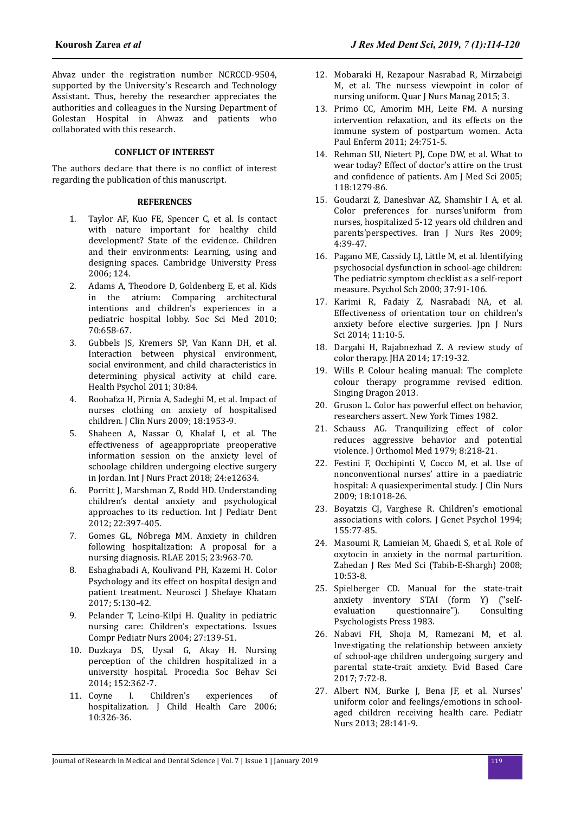Ahvaz under the registration number NCRCCD-9504, supported by the University's Research and Technology Assistant. Thus, hereby the researcher appreciates the authorities and colleagues in the Nursing Department of Golestan Hospital in Ahwaz and patients who collaborated with this research.

#### **CONFLICT OF INTEREST**

The authors declare that there is no conflict of interest regarding the publication of this manuscript.

#### **REFERENCES**

- 1. Taylor AF, Kuo FE, Spencer C, et al. Is contact with nature important for healthy child development? State of the evidence. Children and their environments: Learning, using and designing spaces. Cambridge University Press 2006; 124.
- 2. Adams A, Theodore D, Goldenberg E, et al. Kids in the atrium: Comparing architectural intentions and children's experiences in a pediatric hospital lobby. Soc Sci Med 2010; 70:658-67.
- 3. Gubbels JS, Kremers SP, Van Kann DH, et al. Interaction between physical environment, social environment, and child characteristics in determining physical activity at child care. Health Psychol 2011; 30:84.
- 4. Roohafza H, Pirnia A, Sadeghi M, et al. Impact of nurses clothing on anxiety of hospitalised children. J Clin Nurs 2009; 18:1953-9.
- 5. Shaheen A, Nassar O, Khalaf I, et al. The effectiveness of ageappropriate preoperative information session on the anxiety level of schoolage children undergoing elective surgery in Jordan. Int J Nurs Pract 2018; 24:e12634.
- 6. Porritt J, Marshman Z, Rodd HD. Understanding children's dental anxiety and psychological approaches to its reduction. Int J Pediatr Dent 2012; 22:397-405.
- 7. Gomes GL, Nóbrega MM. Anxiety in children following hospitalization: A proposal for a nursing diagnosis. RLAE 2015; 23:963-70.
- 8. Eshaghabadi A, Koulivand PH, Kazemi H. Color Psychology and its effect on hospital design and patient treatment. Neurosci J Shefaye Khatam 2017; 5:130-42.
- 9. Pelander T, Leino-Kilpi H. Quality in pediatric nursing care: Children's expectations. Issues Compr Pediatr Nurs 2004; 27:139-51.
- 10. Duzkaya DS, Uysal G, Akay H. Nursing perception of the children hospitalized in a university hospital. Procedia Soc Behav Sci 2014; 152:362-7.
- 11. Coyne I. Children's experiences of hospitalization. J Child Health Care 2006; 10:326-36.
- 12. Mobaraki H, Rezapour Nasrabad R, Mirzabeigi M, et al. The nursess viewpoint in color of nursing uniform. Quar J Nurs Manag 2015; 3.
- 13. Primo CC, Amorim MH, Leite FM. A nursing intervention relaxation, and its effects on the immune system of postpartum women. Acta Paul Enferm 2011; 24:751-5.
- 14. Rehman SU, Nietert PJ, Cope DW, et al. What to wear today? Effect of doctor's attire on the trust and confidence of patients. Am J Med Sci 2005; 118:1279-86.
- 15. Goudarzi Z, Daneshvar AZ, Shamshir I A, et al. Color preferences for nurses'uniform from nurses, hospitalized 5-12 years old children and parents'perspectives. Iran J Nurs Res 2009; 4:39-47.
- 16. Pagano ME, Cassidy LJ, Little M, et al. Identifying psychosocial dysfunction in school-age children: The pediatric symptom checklist as a self-report measure. Psychol Sch 2000; 37:91-106.
- 17. Karimi R, Fadaiy Z, Nasrabadi NA, et al. Effectiveness of orientation tour on children's anxiety before elective surgeries. Jpn J Nurs Sci 2014; 11:10-5.
- 18. Dargahi H, Rajabnezhad Z. A review study of color therapy. JHA 2014; 17:19-32.
- 19. Wills P. Colour healing manual: The complete colour therapy programme revised edition. Singing Dragon 2013.
- 20. Gruson L. Color has powerful effect on behavior, researchers assert. New York Times 1982.
- 21. Schauss AG. Tranquilizing effect of color reduces aggressive behavior and potential violence. J Orthomol Med 1979; 8:218-21.
- 22. Festini F, Occhipinti V, Cocco M, et al. Use of nonconventional nurses' attire in a paediatric hospital: A quasiexperimental study. J Clin Nurs 2009; 18:1018-26.
- 23. Boyatzis CJ, Varghese R. Children's emotional associations with colors. J Genet Psychol 1994; 155:77-85.
- 24. Masoumi R, Lamieian M, Ghaedi S, et al. Role of oxytocin in anxiety in the normal parturition. Zahedan J Res Med Sci (Tabib-E-Shargh) 2008; 10:53-8.
- 25. Spielberger CD. Manual for the state-trait anxiety inventory STAI (form Y) ("selfevaluation questionnaire"). Consulting Psychologists Press 1983.
- 26. Nabavi FH, Shoja M, Ramezani M, et al. Investigating the relationship between anxiety of school-age children undergoing surgery and parental state-trait anxiety. Evid Based Care 2017; 7:72-8.
- 27. Albert NM, Burke J, Bena JF, et al. Nurses' uniform color and feelings/emotions in schoolaged children receiving health care. Pediatr Nurs 2013; 28:141-9.